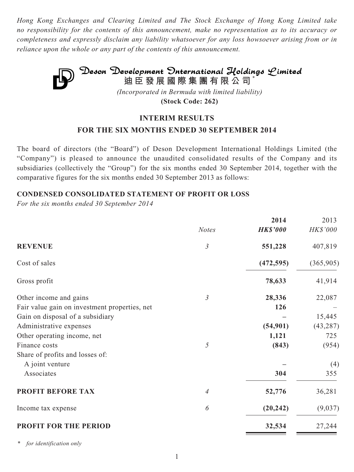*Hong Kong Exchanges and Clearing Limited and The Stock Exchange of Hong Kong Limited take no responsibility for the contents of this announcement, make no representation as to its accuracy or completeness and expressly disclaim any liability whatsoever for any loss howsoever arising from or in reliance upon the whole or any part of the contents of this announcement.*



**(Stock Code: 262)**

# **INTERIM RESULTS**

# **FOR THE SIX MONTHS ENDED 30 SEPTEMBER 2014**

The board of directors (the "Board") of Deson Development International Holdings Limited (the "Company") is pleased to announce the unaudited consolidated results of the Company and its subsidiaries (collectively the "Group") for the six months ended 30 September 2014, together with the comparative figures for the six months ended 30 September 2013 as follows:

#### **CONDENSED CONSOLIDATED STATEMENT OF PROFIT OR LOSS**

*For the six months ended 30 September 2014*

|                | 2014            | 2013      |
|----------------|-----------------|-----------|
| <b>Notes</b>   | <b>HK\$'000</b> | HK\$'000  |
| $\mathfrak{Z}$ | 551,228         | 407,819   |
|                | (472, 595)      | (365,905) |
|                | 78,633          | 41,914    |
| $\mathfrak{Z}$ | 28,336          | 22,087    |
|                | 126             |           |
|                |                 | 15,445    |
|                | (54, 901)       | (43, 287) |
|                | 1,121           | 725       |
| $\sqrt{2}$     | (843)           | (954)     |
|                |                 |           |
|                |                 | (4)       |
|                | 304             | 355       |
| 4              | 52,776          | 36,281    |
| 6              | (20, 242)       | (9,037)   |
|                | 32,534          | 27,244    |
|                |                 |           |

*\* for identification only*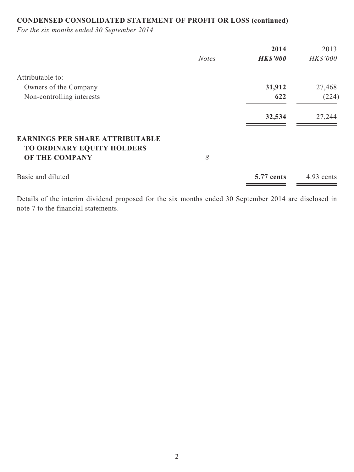# **CONDENSED CONSOLIDATED STATEMENT OF PROFIT OR LOSS (continued)**

*For the six months ended 30 September 2014*

|                                                                                        |              | 2014            | 2013            |
|----------------------------------------------------------------------------------------|--------------|-----------------|-----------------|
|                                                                                        | <b>Notes</b> | <b>HK\$'000</b> | <b>HK\$'000</b> |
| Attributable to:                                                                       |              |                 |                 |
| Owners of the Company                                                                  |              | 31,912          | 27,468          |
| Non-controlling interests                                                              |              | 622             | (224)           |
|                                                                                        |              | 32,534          | 27,244          |
| <b>EARNINGS PER SHARE ATTRIBUTABLE</b><br>TO ORDINARY EQUITY HOLDERS<br>OF THE COMPANY | 8            |                 |                 |
| Basic and diluted                                                                      |              | 5.77 cents      | 4.93 cents      |

Details of the interim dividend proposed for the six months ended 30 September 2014 are disclosed in note 7 to the financial statements.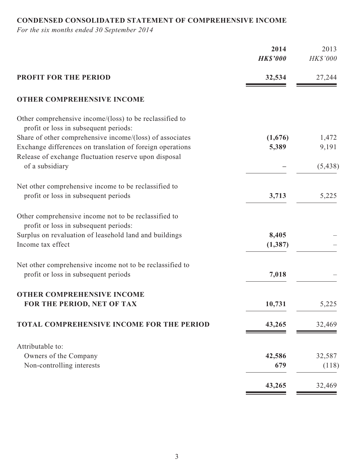# **CONDENSED CONSOLIDATED STATEMENT OF COMPREHENSIVE INCOME**

*For the six months ended 30 September 2014*

|                                                                                                  | 2014<br><b>HK\$'000</b> | 2013<br>HK\$'000 |
|--------------------------------------------------------------------------------------------------|-------------------------|------------------|
| <b>PROFIT FOR THE PERIOD</b>                                                                     | 32,534                  | 27,244           |
| <b>OTHER COMPREHENSIVE INCOME</b>                                                                |                         |                  |
| Other comprehensive income/(loss) to be reclassified to<br>profit or loss in subsequent periods: |                         |                  |
| Share of other comprehensive income/(loss) of associates                                         | (1,676)                 | 1,472            |
| Exchange differences on translation of foreign operations                                        | 5,389                   | 9,191            |
| Release of exchange fluctuation reserve upon disposal                                            |                         |                  |
| of a subsidiary                                                                                  |                         | (5, 438)         |
| Net other comprehensive income to be reclassified to                                             |                         |                  |
| profit or loss in subsequent periods                                                             | 3,713                   | 5,225            |
|                                                                                                  |                         |                  |
| Other comprehensive income not to be reclassified to                                             |                         |                  |
| profit or loss in subsequent periods:                                                            |                         |                  |
| Surplus on revaluation of leasehold land and buildings<br>Income tax effect                      | 8,405<br>(1, 387)       |                  |
|                                                                                                  |                         |                  |
| Net other comprehensive income not to be reclassified to                                         |                         |                  |
| profit or loss in subsequent periods                                                             | 7,018                   |                  |
|                                                                                                  |                         |                  |
| <b>OTHER COMPREHENSIVE INCOME</b>                                                                |                         |                  |
| FOR THE PERIOD, NET OF TAX                                                                       | 10,731                  | 5,225            |
| TOTAL COMPREHENSIVE INCOME FOR THE PERIOD                                                        | 43,265                  | 32,469           |
|                                                                                                  |                         |                  |
| Attributable to:                                                                                 | 42,586                  | 32,587           |
| Owners of the Company<br>Non-controlling interests                                               | 679                     | (118)            |
|                                                                                                  |                         |                  |
|                                                                                                  | 43,265                  | 32,469           |
|                                                                                                  |                         |                  |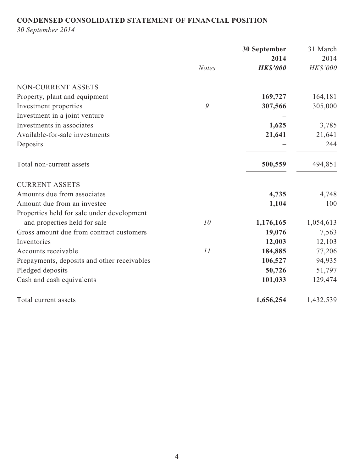# **CONDENSED CONSOLIDATED STATEMENT OF FINANCIAL POSITION**

*30 September 2014*

|                                             |              | 30 September    | 31 March  |
|---------------------------------------------|--------------|-----------------|-----------|
|                                             |              | 2014            | 2014      |
|                                             | <b>Notes</b> | <b>HK\$'000</b> | HK\$'000  |
| NON-CURRENT ASSETS                          |              |                 |           |
| Property, plant and equipment               |              | 169,727         | 164,181   |
| Investment properties                       | 9            | 307,566         | 305,000   |
| Investment in a joint venture               |              |                 |           |
| Investments in associates                   |              | 1,625           | 3,785     |
| Available-for-sale investments              |              | 21,641          | 21,641    |
| Deposits                                    |              |                 | 244       |
| Total non-current assets                    |              | 500,559         | 494,851   |
| <b>CURRENT ASSETS</b>                       |              |                 |           |
| Amounts due from associates                 |              | 4,735           | 4,748     |
| Amount due from an investee                 |              | 1,104           | 100       |
| Properties held for sale under development  |              |                 |           |
| and properties held for sale                | 10           | 1,176,165       | 1,054,613 |
| Gross amount due from contract customers    |              | 19,076          | 7,563     |
| Inventories                                 |              | 12,003          | 12,103    |
| Accounts receivable                         | 11           | 184,885         | 77,206    |
| Prepayments, deposits and other receivables |              | 106,527         | 94,935    |
| Pledged deposits                            |              | 50,726          | 51,797    |
| Cash and cash equivalents                   |              | 101,033         | 129,474   |
| Total current assets                        |              | 1,656,254       | 1,432,539 |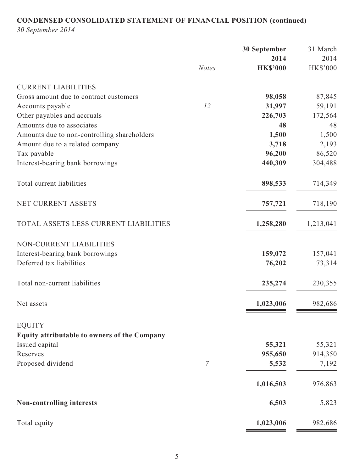# **CONDENSED CONSOLIDATED STATEMENT OF FINANCIAL POSITION (continued)**

*30 September 2014*

|                                                               |                | 30 September    | 31 March  |
|---------------------------------------------------------------|----------------|-----------------|-----------|
|                                                               |                | 2014            | 2014      |
|                                                               | <b>Notes</b>   | <b>HK\$'000</b> | HK\$'000  |
| <b>CURRENT LIABILITIES</b>                                    |                |                 |           |
| Gross amount due to contract customers                        |                | 98,058          | 87,845    |
| Accounts payable                                              | 12             | 31,997          | 59,191    |
| Other payables and accruals                                   |                | 226,703         | 172,564   |
| Amounts due to associates                                     |                | 48              | 48        |
| Amounts due to non-controlling shareholders                   |                | 1,500           | 1,500     |
| Amount due to a related company                               |                | 3,718           | 2,193     |
| Tax payable                                                   |                | 96,200          | 86,520    |
| Interest-bearing bank borrowings                              |                | 440,309         | 304,488   |
| Total current liabilities                                     |                | 898,533         | 714,349   |
| NET CURRENT ASSETS                                            |                | 757,721         | 718,190   |
| TOTAL ASSETS LESS CURRENT LIABILITIES                         |                | 1,258,280       | 1,213,041 |
| NON-CURRENT LIABILITIES                                       |                |                 |           |
| Interest-bearing bank borrowings                              |                | 159,072         | 157,041   |
| Deferred tax liabilities                                      |                | 76,202          | 73,314    |
| Total non-current liabilities                                 |                | 235,274         | 230,355   |
| Net assets                                                    |                | 1,023,006       | 982,686   |
| <b>EQUITY</b><br>Equity attributable to owners of the Company |                |                 |           |
| Issued capital                                                |                | 55,321          | 55,321    |
| Reserves                                                      |                | 955,650         | 914,350   |
| Proposed dividend                                             | $\overline{7}$ | 5,532           | 7,192     |
|                                                               |                | 1,016,503       | 976,863   |
| Non-controlling interests                                     |                | 6,503           | 5,823     |
| Total equity                                                  |                | 1,023,006       | 982,686   |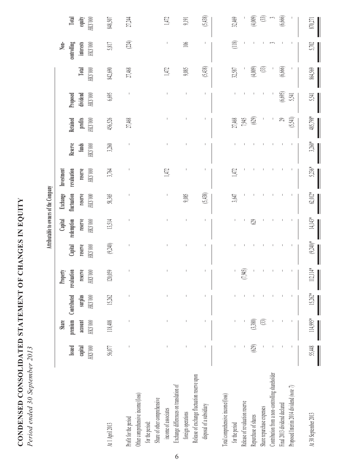| CONDENSED CONSOLIDATED STATEMENT OF CHANGES IN EQUITY | 2102<br>$120$ Septem<br>ここ<br>، س س |
|-------------------------------------------------------|-------------------------------------|
|                                                       | a enuev                             |

| <b>STARF</b><br>ζ<br>ì<br>a<br><b>OWNERS O</b><br>Ξ |  |
|-----------------------------------------------------|--|
|                                                     |  |

|                                                                                                | Issued<br>$\mathrm{HK3'000}$<br>capital                                                                                                                                                                                                                                                                                                                                                                        | premium<br>$\rm{HK}$ $\rm{000}$<br>Share<br>account | Contributed<br>surplus<br>$\rm{HK}3.000$ | reserve<br>revaluation<br>$HK3'000$<br>Property | Capital<br>reserve<br>$\rm{H}X3~000$ | reserve<br>redemption<br>$\rm{HK}3.000$<br>Capital | Exchange<br>fluctuation<br>reserve<br>$\rm{HK}3\,000$ | revaluation<br>reserve<br>$\rm HK3'000$<br>Investment | Reserve<br>funds<br>$\rm{HK}3.000$ | profits<br>Retained<br>$000,$ SHZ | $\rm{HK}3.000$<br>Proposed<br>dividend | $\rm{HK}3\,000$<br>Total     | $\rm HK3.000$<br>controlling<br>interests<br>$\sum$ | <b>Total</b><br>equity<br>$000.3\mathrm{M}$ |
|------------------------------------------------------------------------------------------------|----------------------------------------------------------------------------------------------------------------------------------------------------------------------------------------------------------------------------------------------------------------------------------------------------------------------------------------------------------------------------------------------------------------|-----------------------------------------------------|------------------------------------------|-------------------------------------------------|--------------------------------------|----------------------------------------------------|-------------------------------------------------------|-------------------------------------------------------|------------------------------------|-----------------------------------|----------------------------------------|------------------------------|-----------------------------------------------------|---------------------------------------------|
| At 1 April 2013                                                                                | 56,077                                                                                                                                                                                                                                                                                                                                                                                                         | 118,408                                             | 15,262                                   | 120,059                                         | (9.240)                              | 13,514                                             | 58,365                                                | 3,764                                                 | 3,260                              | 456,526                           | 6,695                                  | 842,690                      | 5,817                                               | 848,507                                     |
| Other comprehensive income/(loss)<br>Profit for the period<br>for the period:                  | $\begin{array}{c} \rule{0pt}{2ex} \rule{0pt}{2ex} \rule{0pt}{2ex} \rule{0pt}{2ex} \rule{0pt}{2ex} \rule{0pt}{2ex} \rule{0pt}{2ex} \rule{0pt}{2ex} \rule{0pt}{2ex} \rule{0pt}{2ex} \rule{0pt}{2ex} \rule{0pt}{2ex} \rule{0pt}{2ex} \rule{0pt}{2ex} \rule{0pt}{2ex} \rule{0pt}{2ex} \rule{0pt}{2ex} \rule{0pt}{2ex} \rule{0pt}{2ex} \rule{0pt}{2ex} \rule{0pt}{2ex} \rule{0pt}{2ex} \rule{0pt}{2ex} \rule{0pt}{$ | $\mathsf I$                                         | $\mathsf I$                              | I                                               |                                      |                                                    |                                                       |                                                       | $\mathbf{I}$                       | 27,468                            | T                                      | 27,468                       | $(24)$                                              | 27,244                                      |
| Exchange differences on translation of<br>Share of other comprehensive<br>income of associates |                                                                                                                                                                                                                                                                                                                                                                                                                | $\mathsf I$                                         | $\mathsf I$                              |                                                 |                                      |                                                    |                                                       | 1472                                                  |                                    |                                   |                                        | 1,472                        |                                                     | 1,472                                       |
| foreign operations                                                                             |                                                                                                                                                                                                                                                                                                                                                                                                                |                                                     | $\mathbf{I}$                             |                                                 |                                      |                                                    | 9,085                                                 |                                                       |                                    |                                   | I                                      | 9,085                        | 106                                                 | 9,191                                       |
| Release of exchange fluctuation reserve upon<br>disposal of a subsidiary                       |                                                                                                                                                                                                                                                                                                                                                                                                                |                                                     | $\mathsf I$                              | $\overline{1}$                                  |                                      |                                                    | (5,438)                                               |                                                       |                                    |                                   |                                        | (5,438)                      |                                                     | (5,438)                                     |
| l'otal comprehensive income/(loss)<br>for the period                                           |                                                                                                                                                                                                                                                                                                                                                                                                                |                                                     |                                          |                                                 |                                      |                                                    | 3,647                                                 | 1,472                                                 |                                    | 27,468                            |                                        | 32,587                       | (118)                                               | 32,469                                      |
| Release of revaluation reserve                                                                 |                                                                                                                                                                                                                                                                                                                                                                                                                |                                                     |                                          | (7,945)                                         |                                      |                                                    |                                                       |                                                       |                                    | 7,945                             |                                        |                              |                                                     |                                             |
| Share repurchase expenses<br>Repurchase of shares                                              | (629)                                                                                                                                                                                                                                                                                                                                                                                                          | (3,380)<br>33)                                      |                                          |                                                 |                                      | 629                                                |                                                       |                                                       |                                    | (62)                              |                                        | (4,009)<br>$\textcircled{3}$ |                                                     | (4,009)<br>3                                |
| Contribution from a non-controlling shareholder                                                |                                                                                                                                                                                                                                                                                                                                                                                                                |                                                     |                                          |                                                 |                                      |                                                    |                                                       |                                                       |                                    |                                   |                                        |                              |                                                     | $\tilde{\phantom{a}}$                       |
| Final 2013 dividend declared                                                                   |                                                                                                                                                                                                                                                                                                                                                                                                                |                                                     |                                          |                                                 |                                      |                                                    |                                                       |                                                       |                                    | $\mathcal{C}$                     | (6, 695)                               | (6,666)                      |                                                     | (6,666)                                     |
| Proposed Interim 2014 dividend (note 7)                                                        |                                                                                                                                                                                                                                                                                                                                                                                                                |                                                     |                                          |                                                 |                                      |                                                    |                                                       |                                                       |                                    | (5,541)                           | 5,541                                  |                              |                                                     |                                             |
| At 30 September 2013                                                                           | 55,448                                                                                                                                                                                                                                                                                                                                                                                                         | 114,995*                                            | $15,262*$                                | $112,114*$                                      | $(9.240)*$                           | $14,143*$                                          | $62,012*$                                             | $5,236*$                                              | $3,260*$                           | 485,798*                          | 5,541                                  | 864,569                      | 5,702                                               | 870,271                                     |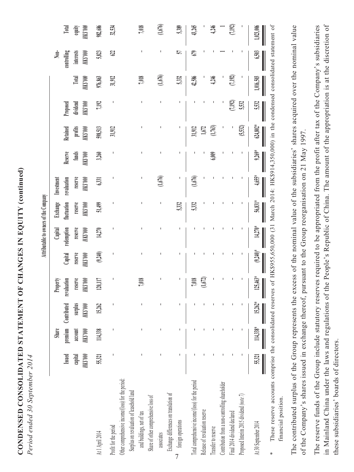CONDENSED CONSOLIDATED STATEMENT OF CHANGES IN EQUITY (continued) **CONDENSED CONSOLIDATED STATEMENT OF CHANGES IN EQUITY (continued)** Period ended 30 September 2014 *Period ended 30 September 2014*

|                                                   |                 |                |                     |                                  |                                | Attributable to owners of the Company       |                                                         |                                                 |                                      |                                                      |                                          |                    |                                                      |                                       |
|---------------------------------------------------|-----------------|----------------|---------------------|----------------------------------|--------------------------------|---------------------------------------------|---------------------------------------------------------|-------------------------------------------------|--------------------------------------|------------------------------------------------------|------------------------------------------|--------------------|------------------------------------------------------|---------------------------------------|
|                                                   |                 | <b>Share</b>   |                     | <b>Property</b>                  |                                |                                             |                                                         |                                                 |                                      |                                                      |                                          |                    |                                                      |                                       |
|                                                   | Issued          |                | premium Contributed | E                                |                                |                                             |                                                         | Investment<br>revaluation<br>reserve<br>HKS'000 |                                      |                                                      |                                          |                    |                                                      |                                       |
|                                                   | capital         | account        | surplus             |                                  |                                |                                             |                                                         |                                                 |                                      |                                                      |                                          | Total              |                                                      |                                       |
|                                                   | <b>НК\$'000</b> | <b>HKS'000</b> | HK\$'000            | valuation<br>reserve<br>HKS '000 | Capital<br>reserve<br>HK\$'000 | Capital<br>redemption<br>reserve<br>HKS'000 |                                                         |                                                 |                                      |                                                      |                                          |                    |                                                      |                                       |
| At 1 April 2014                                   | 55,321          | 114,338        | 15.262              | 120,117                          | (9, 240)                       | 14,270                                      | Exchange<br>fluctuation<br>reserve<br>HKS'000<br>51,499 | 6,331                                           | Reserve<br>funds<br>HKS'900<br>3,260 | Retained<br>profits<br>HKS'000<br>598,513<br>598,513 | Proposed<br>dividend<br>HKS'000<br>7,192 | HKS'000<br>976,863 | Non-<br>controlling<br>interests<br>HKS'000<br>5,823 | Total<br>equity<br>HKS'000<br>982,686 |
| Profit for the period                             |                 |                |                     |                                  |                                |                                             |                                                         |                                                 |                                      |                                                      |                                          | 31,912             | 62                                                   | 32,534                                |
| other comprehensive income((loss) for the period: |                 |                |                     |                                  |                                |                                             |                                                         |                                                 |                                      |                                                      |                                          |                    |                                                      |                                       |
| Surplus on revaluation of leasehold land          |                 |                |                     |                                  |                                |                                             |                                                         |                                                 |                                      |                                                      |                                          |                    |                                                      |                                       |
| and buildings, net of tax                         |                 |                |                     | 7,018                            |                                |                                             |                                                         |                                                 |                                      |                                                      |                                          | 1,018              |                                                      | 7,018                                 |
| Share of other comprehensive loss of              |                 |                |                     |                                  |                                |                                             |                                                         |                                                 |                                      |                                                      |                                          |                    |                                                      |                                       |

7

foreign operations

Total comprehensive income/(loss) for the period

Release of revaluation reserve

Transfer to reserve

Contribution from a non-controlling shareholder

Proposed Interim 2015 dividend (note 7)

Final 2014 dividend declared

Exchange differences on translation of

associates

Exchange differences on translation of

associates **– – – – – – – (1,676) – – – (1,676) – (1,676)**

 $(1,676)$ 

7,018

 $(1,676)$ 

 $(1,676)$ 

43,265

12,586

31,912 1,672

 $(1,676)$ 

5.332

4,246

4,246

 $(1,763)$ 

5,389

 $\overline{5}$ 

5,332

foreign operations **– – – – – – 5,332 – – – – 5,332 57 5,389**

5,332

Total comprehensive income/(loss) for the period **– – – 7,018 – – 5,332 (1,676) – 31,912 – 42,586 679 43,265** Release of revaluation reserve **– – – (1,672) – – – – – 1,672 – – – –** الملكات ابي الملكات الملكات الملكات الملكات الملكات الملكات الملكات الملكات الملكات الملكات الملكات الملكات الم<br>الملكات الملكات الملكات الملكات الملكات الملكات الملكات الملكات الملكات الملكات الملكات الملكات الملكات المل Contribution from a non-controlling shareholder **– – – – – – – – – – – – 1 1** Final 2014 dividend declared **– – – – – – – – – – (7,192) (7,192) – (7,192)** Proposed Interim 2015 dividend *(note 7)* **– – – – – – – – – (5,532) 5,532 – – –**

 $(1.672)$ 7,018

**I**otal equity HS'000 982,686

32,534

\* These reserve accounts comprise the consolidated reserves of HK\$955,650,000 (31 March 2014: HK\$914,350,000) in the condensed consolidated statement of These reserve accounts comprise the consolidated reserves of HK\$955,650,000 (31 March 2014: HK\$914,350,000) in the condensed consolidated statement of financial position. financial position.

At 30 September 2014 **55,321 114,338**\* **15,262**\* **125,463**\* **(9,240)**\* **14,270**\* **56,831**\* **4,655**\* **9,269**\* **624,802**\* **5,532 1,016,503 6,503 1,023,006**

 $(9.240)*$ 

125,463\*

 $15.262*$ 

114,338\*

55,321

At 30 September 2014

14,270\*

 $(7,192)$ 

7,192)

 $(7,192)$ 5,532

 $(5, 532)$ 

1,023,006

6.503

1,016,503

5,532

 $624.802*$ 

9,269\*

4,65\*

56,831\*

The contributed surplus of the Group represents the excess of the nominal value of the subsidiaries' shares acquired over the nominal value The contributed surplus of the Group represents the excess of the nominal value of the subsidiaries' shares acquired over the nominal value of the Company's shares issued in exchange thereof, pursuant to the Group reorganisation on 21 May 1997. of the Company's shares issued in exchange thereof, pursuant to the Group reorganisation on 21 May 1997.

The reserve funds of the Group include statutory reserves required to be appropriated from the profit after tax of the Company's subsidiaries The reserve funds of the Group include statutory reserves required to be appropriated from the profit after tax of the Company's subsidiaries in Mainland China under the laws and regulations of the People's Republic of China. The amount of the appropriation is at the discretion of in Mainland China under the laws and regulations of the People's Republic of China. The amount of the appropriation is at the discretion of these subsidiaries' boards of directors. these subsidiaries' boards of directors.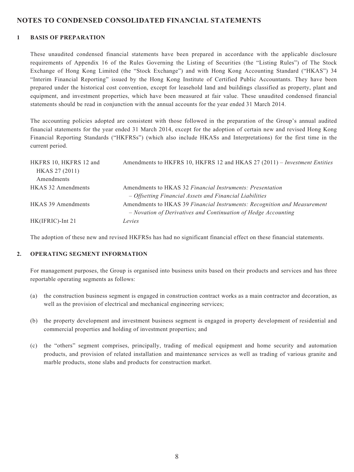#### **NOTES TO CONDENSED CONSOLIDATED FINANCIAL STATEMENTS**

#### **1 BASIS OF PREPARATION**

These unaudited condensed financial statements have been prepared in accordance with the applicable disclosure requirements of Appendix 16 of the Rules Governing the Listing of Securities (the "Listing Rules") of The Stock Exchange of Hong Kong Limited (the "Stock Exchange") and with Hong Kong Accounting Standard ("HKAS") 34 "Interim Financial Reporting" issued by the Hong Kong Institute of Certified Public Accountants. They have been prepared under the historical cost convention, except for leasehold land and buildings classified as property, plant and equipment, and investment properties, which have been measured at fair value. These unaudited condensed financial statements should be read in conjunction with the annual accounts for the year ended 31 March 2014.

The accounting policies adopted are consistent with those followed in the preparation of the Group's annual audited financial statements for the year ended 31 March 2014, except for the adoption of certain new and revised Hong Kong Financial Reporting Standards ("HKFRSs") (which also include HKASs and Interpretations) for the first time in the current period.

| HKFRS 10, HKFRS 12 and<br>HKAS 27 (2011) | Amendments to HKFRS 10, HKFRS 12 and HKAS 27 (2011) – Investment Entities |
|------------------------------------------|---------------------------------------------------------------------------|
| Amendments                               |                                                                           |
| <b>HKAS 32 Amendments</b>                | Amendments to HKAS 32 Financial Instruments: Presentation                 |
|                                          | - Offsetting Financial Assets and Financial Liabilities                   |
| <b>HKAS 39 Amendments</b>                | Amendments to HKAS 39 Financial Instruments: Recognition and Measurement  |
|                                          | - Novation of Derivatives and Continuation of Hedge Accounting            |
| HK(IFRIC)-Int 21                         | Levies                                                                    |

The adoption of these new and revised HKFRSs has had no significant financial effect on these financial statements.

#### **2. OPERATING SEGMENT INFORMATION**

For management purposes, the Group is organised into business units based on their products and services and has three reportable operating segments as follows:

- (a) the construction business segment is engaged in construction contract works as a main contractor and decoration, as well as the provision of electrical and mechanical engineering services;
- (b) the property development and investment business segment is engaged in property development of residential and commercial properties and holding of investment properties; and
- (c) the "others" segment comprises, principally, trading of medical equipment and home security and automation products, and provision of related installation and maintenance services as well as trading of various granite and marble products, stone slabs and products for construction market.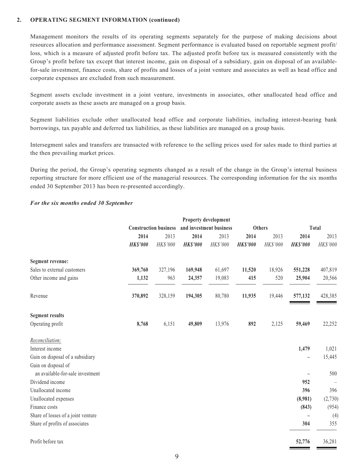#### **2. OPERATING SEGMENT INFORMATION (continued)**

Management monitors the results of its operating segments separately for the purpose of making decisions about resources allocation and performance assessment. Segment performance is evaluated based on reportable segment profit/ loss, which is a measure of adjusted profit before tax. The adjusted profit before tax is measured consistently with the Group's profit before tax except that interest income, gain on disposal of a subsidiary, gain on disposal of an availablefor-sale investment, finance costs, share of profits and losses of a joint venture and associates as well as head office and corporate expenses are excluded from such measurement.

Segment assets exclude investment in a joint venture, investments in associates, other unallocated head office and corporate assets as these assets are managed on a group basis.

Segment liabilities exclude other unallocated head office and corporate liabilities, including interest-bearing bank borrowings, tax payable and deferred tax liabilities, as these liabilities are managed on a group basis.

Intersegment sales and transfers are transacted with reference to the selling prices used for sales made to third parties at the then prevailing market prices.

During the period, the Group's operating segments changed as a result of the change in the Group's internal business reporting structure for more efficient use of the managerial resources. The corresponding information for the six months ended 30 September 2013 has been re-presented accordingly.

#### *For the six months ended 30 September*

|                                    |                 |                              |                 | Property development    |                 |               |                          |              |
|------------------------------------|-----------------|------------------------------|-----------------|-------------------------|-----------------|---------------|--------------------------|--------------|
|                                    |                 | <b>Construction business</b> |                 | and investment business |                 | <b>Others</b> |                          | <b>Total</b> |
|                                    | 2014            | 2013                         | 2014            | 2013                    | 2014            | 2013          | 2014                     | 2013         |
|                                    | <b>HK\$'000</b> | HK\$'000                     | <b>HK\$'000</b> | HK\$'000                | <b>HK\$'000</b> | HK\$'000      | <b>HK\$'000</b>          | HK\$'000     |
| Segment revenue:                   |                 |                              |                 |                         |                 |               |                          |              |
| Sales to external customers        | 369,760         | 327,196                      | 169,948         | 61,697                  | 11,520          | 18,926        | 551,228                  | 407,819      |
| Other income and gains             | 1,132           | 963                          | 24,357          | 19,083                  | 415             | 520           | 25,904                   | 20,566       |
| Revenue                            | 370,892         | 328,159                      | 194,305         | 80,780                  | 11,935          | 19,446        | 577,132                  | 428,385      |
| <b>Segment results</b>             |                 |                              |                 |                         |                 |               |                          |              |
| Operating profit                   | 8,768           | 6,151                        | 49,809          | 13,976                  | 892             | 2,125         | 59,469                   | 22,252       |
| Reconciliation:                    |                 |                              |                 |                         |                 |               |                          |              |
| Interest income                    |                 |                              |                 |                         |                 |               | 1,479                    | 1,021        |
| Gain on disposal of a subsidiary   |                 |                              |                 |                         |                 |               | $\overline{\phantom{0}}$ | 15,445       |
| Gain on disposal of                |                 |                              |                 |                         |                 |               |                          |              |
| an available-for-sale investment   |                 |                              |                 |                         |                 |               |                          | 500          |
| Dividend income                    |                 |                              |                 |                         |                 |               | 952                      |              |
| Unallocated income                 |                 |                              |                 |                         |                 |               | 396                      | 396          |
| Unallocated expenses               |                 |                              |                 |                         |                 |               | (8,981)                  | (2,730)      |
| Finance costs                      |                 |                              |                 |                         |                 |               | (843)                    | (954)        |
| Share of losses of a joint venture |                 |                              |                 |                         |                 |               |                          | (4)          |
| Share of profits of associates     |                 |                              |                 |                         |                 |               | 304                      | 355          |
| Profit before tax                  |                 |                              |                 |                         |                 |               | 52,776                   | 36,281       |

 $\sim$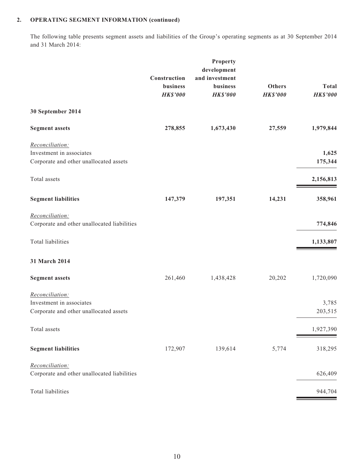#### **2. OPERATING SEGMENT INFORMATION (continued)**

The following table presents segment assets and liabilities of the Group's operating segments as at 30 September 2014 and 31 March 2014:

| Construction    | Property<br>development<br>and investment |                 | <b>Total</b>     |
|-----------------|-------------------------------------------|-----------------|------------------|
| <b>HK\$'000</b> | <b>HK\$'000</b>                           | <b>HK\$'000</b> | <b>HK\$'000</b>  |
|                 |                                           |                 |                  |
| 278,855         | 1,673,430                                 | 27,559          | 1,979,844        |
|                 |                                           |                 | 1,625<br>175,344 |
|                 |                                           |                 | 2,156,813        |
| 147,379         | 197,351                                   | 14,231          | 358,961          |
|                 |                                           |                 | 774,846          |
|                 |                                           |                 | 1,133,807        |
|                 |                                           |                 |                  |
| 261,460         | 1,438,428                                 | 20,202          | 1,720,090        |
|                 |                                           |                 | 3,785<br>203,515 |
|                 |                                           |                 | 1,927,390        |
| 172,907         | 139,614                                   | 5,774           | 318,295          |
|                 |                                           |                 | 626,409          |
|                 |                                           |                 | 944,704          |
|                 | business                                  | business        | <b>Others</b>    |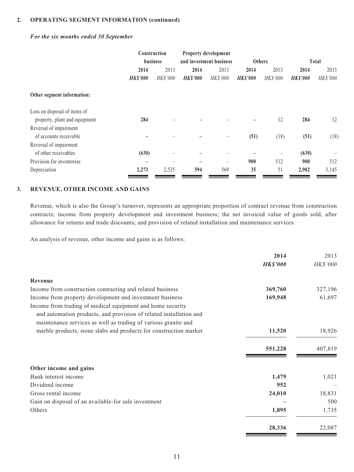#### **2. OPERATING SEGMENT INFORMATION (continued)**

#### *For the six months ended 30 September*

|                               | Construction             |          |                         | Property development |                 |          |                 |          |
|-------------------------------|--------------------------|----------|-------------------------|----------------------|-----------------|----------|-----------------|----------|
|                               | <b>business</b>          |          | and investment business |                      | <b>Others</b>   |          | Total           |          |
|                               | 2014                     | 2013     | 2014                    | 2013                 | 2014            | 2013     | 2014            | 2013     |
|                               | <b>HK\$'000</b>          | HK\$'000 | <b>HK\$'000</b>         | HK\$'000             | <b>HK\$'000</b> | HK\$'000 | <b>HK\$'000</b> | HK\$'000 |
| Other segment information:    |                          |          |                         |                      |                 |          |                 |          |
| Loss on disposal of items of  |                          |          |                         |                      |                 |          |                 |          |
| property, plant and equipment | 284                      |          |                         |                      |                 | 12       | 284             | 12       |
| Reversal of impairment        |                          |          |                         |                      |                 |          |                 |          |
| of accounts receivable        |                          |          |                         | -                    | (51)            | (18)     | (51)            | (18)     |
| Reversal of impairment        |                          |          |                         |                      |                 |          |                 |          |
| of other receivables          | (630)                    |          |                         |                      |                 |          | (630)           |          |
| Provision for inventories     | $\overline{\phantom{0}}$ |          |                         |                      | 900             | 512      | 900             | 512      |
| Depreciation                  | 2,273                    | 2,525    | 594                     | 569                  | 35              | 51       | 2,902           | 3,145    |

#### **3. REVENUE, OTHER INCOME AND GAINS**

Revenue, which is also the Group's turnover, represents an appropriate proportion of contract revenue from construction contracts; income from property development and investment business; the net invoiced value of goods sold, after allowance for returns and trade discounts; and provision of related installation and maintenance services.

An analysis of revenue, other income and gains is as follows:

|                                                                                                                                                                                                    | 2014            | 2013     |
|----------------------------------------------------------------------------------------------------------------------------------------------------------------------------------------------------|-----------------|----------|
|                                                                                                                                                                                                    | <b>HK\$'000</b> | HK\$'000 |
| Revenue                                                                                                                                                                                            |                 |          |
| Income from construction contracting and related business                                                                                                                                          | 369,760         | 327,196  |
| Income from property development and investment business                                                                                                                                           | 169,948         | 61,697   |
| Income from trading of medical equipment and home security<br>and automation products, and provision of related installation and<br>maintenance services as well as trading of various granite and |                 |          |
| marble products, stone slabs and products for construction market                                                                                                                                  | 11,520          | 18,926   |
|                                                                                                                                                                                                    | 551,228         | 407,819  |
| Other income and gains                                                                                                                                                                             |                 |          |
| Bank interest income                                                                                                                                                                               | 1,479           | 1,021    |
| Dividend income                                                                                                                                                                                    | 952             |          |
| Gross rental income                                                                                                                                                                                | 24,010          | 18,831   |
| Gain on disposal of an available-for sale investment                                                                                                                                               |                 | 500      |
| Others                                                                                                                                                                                             | 1,895           | 1,735    |
|                                                                                                                                                                                                    | 28,336          | 22,087   |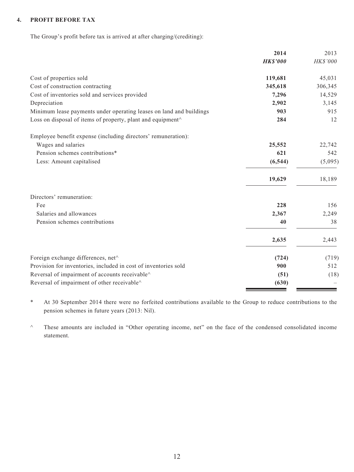#### **4. PROFIT BEFORE TAX**

The Group's profit before tax is arrived at after charging/(crediting):

| Cost of properties sold<br>Cost of construction contracting<br>Cost of inventories sold and services provided | <b>HK\$'000</b><br>119,681<br>345,618<br>7,296<br>2,902 | HK\$'000<br>45,031<br>306,345<br>14,529 |
|---------------------------------------------------------------------------------------------------------------|---------------------------------------------------------|-----------------------------------------|
|                                                                                                               |                                                         |                                         |
|                                                                                                               |                                                         |                                         |
|                                                                                                               |                                                         |                                         |
|                                                                                                               |                                                         |                                         |
| Depreciation                                                                                                  |                                                         | 3,145                                   |
| Minimum lease payments under operating leases on land and buildings                                           | 903                                                     | 915                                     |
| Loss on disposal of items of property, plant and equipment <sup><math>\wedge</math></sup>                     | 284                                                     | 12                                      |
| Employee benefit expense (including directors' remuneration):                                                 |                                                         |                                         |
| Wages and salaries                                                                                            | 25,552                                                  | 22,742                                  |
| Pension schemes contributions*                                                                                | 621                                                     | 542                                     |
| Less: Amount capitalised                                                                                      | (6, 544)                                                | (5,095)                                 |
|                                                                                                               | 19,629                                                  | 18,189                                  |
| Directors' remuneration:                                                                                      |                                                         |                                         |
| Fee                                                                                                           | 228                                                     | 156                                     |
| Salaries and allowances                                                                                       | 2,367                                                   | 2,249                                   |
| Pension schemes contributions                                                                                 | 40                                                      | 38                                      |
|                                                                                                               | 2,635                                                   | 2,443                                   |
| Foreign exchange differences, net^                                                                            | (724)                                                   | (719)                                   |
| Provision for inventories, included in cost of inventories sold                                               | 900                                                     | 512                                     |
| Reversal of impairment of accounts receivable^                                                                | (51)                                                    | (18)                                    |
| Reversal of impairment of other receivable^                                                                   | (630)                                                   |                                         |

\* At 30 September 2014 there were no forfeited contributions available to the Group to reduce contributions to the pension schemes in future years (2013: Nil).

^ These amounts are included in "Other operating income, net" on the face of the condensed consolidated income statement.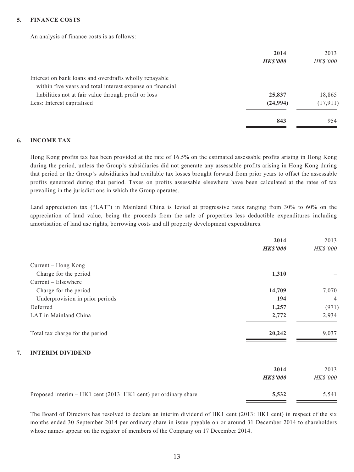#### **5. FINANCE COSTS**

An analysis of finance costs is as follows:

|                                                           | 2014            | 2013            |
|-----------------------------------------------------------|-----------------|-----------------|
|                                                           | <b>HK\$'000</b> | <b>HK\$'000</b> |
| Interest on bank loans and overdrafts wholly repayable    |                 |                 |
| within five years and total interest expense on financial |                 |                 |
| liabilities not at fair value through profit or loss      | 25,837          | 18,865          |
| Less: Interest capitalised                                | (24, 994)       | (17, 911)       |
|                                                           | 843             | 954             |

#### **6. INCOME TAX**

Hong Kong profits tax has been provided at the rate of 16.5% on the estimated assessable profits arising in Hong Kong during the period, unless the Group's subsidiaries did not generate any assessable profits arising in Hong Kong during that period or the Group's subsidiaries had available tax losses brought forward from prior years to offset the assessable profits generated during that period. Taxes on profits assessable elsewhere have been calculated at the rates of tax prevailing in the jurisdictions in which the Group operates.

Land appreciation tax ("LAT") in Mainland China is levied at progressive rates ranging from 30% to 60% on the appreciation of land value, being the proceeds from the sale of properties less deductible expenditures including amortisation of land use rights, borrowing costs and all property development expenditures.

|                                                                 | 2014            | 2013           |
|-----------------------------------------------------------------|-----------------|----------------|
|                                                                 | <b>HK\$'000</b> | HK\$'000       |
| Current – Hong Kong                                             |                 |                |
| Charge for the period                                           | 1,310           |                |
| Current - Elsewhere                                             |                 |                |
| Charge for the period                                           | 14,709          | 7,070          |
| Underprovision in prior periods                                 | 194             | $\overline{4}$ |
| Deferred                                                        | 1,257           | (971)          |
| LAT in Mainland China                                           | 2,772           | 2,934          |
| Total tax charge for the period                                 | 20,242          | 9,037          |
| 7.<br><b>INTERIM DIVIDEND</b>                                   |                 |                |
|                                                                 | 2014            | 2013           |
|                                                                 | <b>HK\$'000</b> | HK\$'000       |
| Proposed interim – HK1 cent (2013: HK1 cent) per ordinary share | 5,532           | 5,541          |

The Board of Directors has resolved to declare an interim dividend of HK1 cent (2013: HK1 cent) in respect of the six months ended 30 September 2014 per ordinary share in issue payable on or around 31 December 2014 to shareholders whose names appear on the register of members of the Company on 17 December 2014.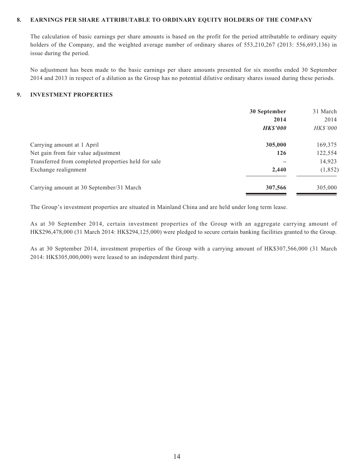#### **8. EARNINGS PER SHARE ATTRIBUTABLE TO ORDINARY EQUITY HOLDERS OF THE COMPANY**

The calculation of basic earnings per share amounts is based on the profit for the period attributable to ordinary equity holders of the Company, and the weighted average number of ordinary shares of 553,210,267 (2013: 556,693,136) in issue during the period.

No adjustment has been made to the basic earnings per share amounts presented for six months ended 30 September 2014 and 2013 in respect of a dilution as the Group has no potential dilutive ordinary shares issued during these periods.

#### **9. INVESTMENT PROPERTIES**

|                                                     | 30 September    | 31 March        |
|-----------------------------------------------------|-----------------|-----------------|
|                                                     | 2014            | 2014            |
|                                                     | <b>HK\$'000</b> | <i>HK\$'000</i> |
| Carrying amount at 1 April                          | 305,000         | 169,375         |
| Net gain from fair value adjustment                 | <b>126</b>      | 122,554         |
| Transferred from completed properties held for sale |                 | 14,923          |
| Exchange realignment                                | 2,440           | (1, 852)        |
| Carrying amount at 30 September/31 March            | 307,566         | 305,000         |

The Group's investment properties are situated in Mainland China and are held under long term lease.

As at 30 September 2014, certain investment properties of the Group with an aggregate carrying amount of HK\$296,478,000 (31 March 2014: HK\$294,125,000) were pledged to secure certain banking facilities granted to the Group.

As at 30 September 2014, investment properties of the Group with a carrying amount of HK\$307,566,000 (31 March 2014: HK\$305,000,000) were leased to an independent third party.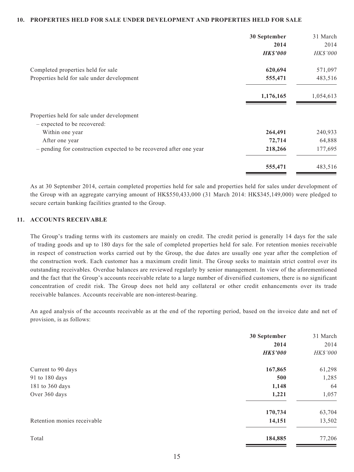#### **10. PROPERTIES HELD FOR SALE UNDER DEVELOPMENT AND PROPERTIES HELD FOR SALE**

| 30 September    | 31 March  |
|-----------------|-----------|
| 2014            | 2014      |
| <b>HK\$'000</b> | HK\$'000  |
| 620,694         | 571,097   |
| 555,471         | 483,516   |
| 1,176,165       | 1,054,613 |
|                 |           |
|                 |           |
| 264,491         | 240,933   |
| 72,714          | 64,888    |
| 218,266         | 177,695   |
| 555,471         | 483,516   |
|                 |           |

As at 30 September 2014, certain completed properties held for sale and properties held for sales under development of the Group with an aggregate carrying amount of HK\$550,433,000 (31 March 2014: HK\$345,149,000) were pledged to secure certain banking facilities granted to the Group.

#### **11. ACCOUNTS RECEIVABLE**

The Group's trading terms with its customers are mainly on credit. The credit period is generally 14 days for the sale of trading goods and up to 180 days for the sale of completed properties held for sale. For retention monies receivable in respect of construction works carried out by the Group, the due dates are usually one year after the completion of the construction work. Each customer has a maximum credit limit. The Group seeks to maintain strict control over its outstanding receivables. Overdue balances are reviewed regularly by senior management. In view of the aforementioned and the fact that the Group's accounts receivable relate to a large number of diversified customers, there is no significant concentration of credit risk. The Group does not held any collateral or other credit enhancements over its trade receivable balances. Accounts receivable are non-interest-bearing.

An aged analysis of the accounts receivable as at the end of the reporting period, based on the invoice date and net of provision, is as follows:

| 30 September    | 31 March |
|-----------------|----------|
| 2014            | 2014     |
| <b>HK\$'000</b> | HK\$'000 |
| 167,865         | 61,298   |
| 500             | 1,285    |
| 1,148           | 64       |
| 1,221           | 1,057    |
| 170,734         | 63,704   |
| 14,151          | 13,502   |
| 184,885         | 77,206   |
|                 |          |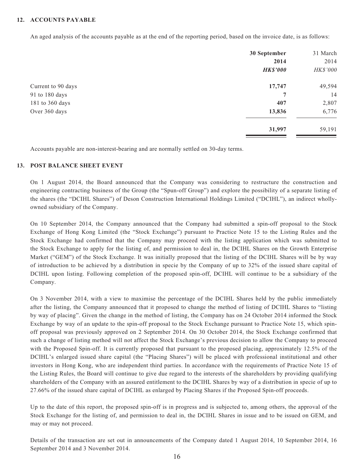#### **12. ACCOUNTS PAYABLE**

An aged analysis of the accounts payable as at the end of the reporting period, based on the invoice date, is as follows:

|                    | 30 September    | 31 March |
|--------------------|-----------------|----------|
|                    | 2014            | 2014     |
|                    | <b>HK\$'000</b> | HK\$'000 |
| Current to 90 days | 17,747          | 49,594   |
| 91 to 180 days     | 7               | 14       |
| 181 to 360 days    | 407             | 2,807    |
| Over 360 days      | 13,836          | 6,776    |
|                    | 31,997          | 59,191   |

Accounts payable are non-interest-bearing and are normally settled on 30-day terms.

#### **13. POST BALANCE SHEET EVENT**

On 1 August 2014, the Board announced that the Company was considering to restructure the construction and engineering contracting business of the Group (the "Spun-off Group") and explore the possibility of a separate listing of the shares (the "DCIHL Shares") of Deson Construction International Holdings Limited ("DCIHL"), an indirect whollyowned subsidiary of the Company.

On 10 September 2014, the Company announced that the Company had submitted a spin-off proposal to the Stock Exchange of Hong Kong Limited (the "Stock Exchange") pursuant to Practice Note 15 to the Listing Rules and the Stock Exchange had confirmed that the Company may proceed with the listing application which was submitted to the Stock Exchange to apply for the listing of, and permission to deal in, the DCIHL Shares on the Growth Enterprise Market ("GEM") of the Stock Exchange. It was initially proposed that the listing of the DCIHL Shares will be by way of introduction to be achieved by a distribution in specie by the Company of up to 32% of the issued share capital of DCIHL upon listing. Following completion of the proposed spin-off, DCIHL will continue to be a subsidiary of the Company.

On 3 November 2014, with a view to maximise the percentage of the DCIHL Shares held by the public immediately after the listing, the Company announced that it proposed to change the method of listing of DCIHL Shares to "listing by way of placing". Given the change in the method of listing, the Company has on 24 October 2014 informed the Stock Exchange by way of an update to the spin-off proposal to the Stock Exchange pursuant to Practice Note 15, which spinoff proposal was previously approved on 2 September 2014. On 30 October 2014, the Stock Exchange confirmed that such a change of listing method will not affect the Stock Exchange's previous decision to allow the Company to proceed with the Proposed Spin-off. It is currently proposed that pursuant to the proposed placing, approximately 12.5% of the DCIHL's enlarged issued share capital (the "Placing Shares") will be placed with professional institutional and other investors in Hong Kong, who are independent third parties. In accordance with the requirements of Practice Note 15 of the Listing Rules, the Board will continue to give due regard to the interests of the shareholders by providing qualifying shareholders of the Company with an assured entitlement to the DCIHL Shares by way of a distribution in specie of up to 27.66% of the issued share capital of DCIHL as enlarged by Placing Shares if the Proposed Spin-off proceeds.

Up to the date of this report, the proposed spin-off is in progress and is subjected to, among others, the approval of the Stock Exchange for the listing of, and permission to deal in, the DCIHL Shares in issue and to be issued on GEM, and may or may not proceed.

Details of the transaction are set out in announcements of the Company dated 1 August 2014, 10 September 2014, 16 September 2014 and 3 November 2014.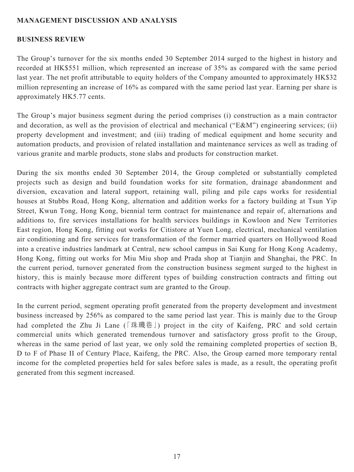### **MANAGEMENT DISCUSSION AND ANALYSIS**

#### **BUSINESS REVIEW**

The Group's turnover for the six months ended 30 September 2014 surged to the highest in history and recorded at HK\$551 million, which represented an increase of 35% as compared with the same period last year. The net profit attributable to equity holders of the Company amounted to approximately HK\$32 million representing an increase of 16% as compared with the same period last year. Earning per share is approximately HK5.77 cents.

The Group's major business segment during the period comprises (i) construction as a main contractor and decoration, as well as the provision of electrical and mechanical ("E&M") engineering services; (ii) property development and investment; and (iii) trading of medical equipment and home security and automation products, and provision of related installation and maintenance services as well as trading of various granite and marble products, stone slabs and products for construction market.

During the six months ended 30 September 2014, the Group completed or substantially completed projects such as design and build foundation works for site formation, drainage abandonment and diversion, excavation and lateral support, retaining wall, piling and pile caps works for residential houses at Stubbs Road, Hong Kong, alternation and addition works for a factory building at Tsun Yip Street, Kwun Tong, Hong Kong, biennial term contract for maintenance and repair of, alternations and additions to, fire services installations for health services buildings in Kowloon and New Territories East region, Hong Kong, fitting out works for Citistore at Yuen Long, electrical, mechanical ventilation air conditioning and fire services for transformation of the former married quarters on Hollywood Road into a creative industries landmark at Central, new school campus in Sai Kung for Hong Kong Academy, Hong Kong, fitting out works for Miu Miu shop and Prada shop at Tianjin and Shanghai, the PRC. In the current period, turnover generated from the construction business segment surged to the highest in history, this is mainly because more different types of building construction contracts and fitting out contracts with higher aggregate contract sum are granted to the Group.

In the current period, segment operating profit generated from the property development and investment business increased by 256% as compared to the same period last year. This is mainly due to the Group had completed the Zhu Ji Lane (「珠璣巷」) project in the city of Kaifeng, PRC and sold certain commercial units which generated tremendous turnover and satisfactory gross profit to the Group, whereas in the same period of last year, we only sold the remaining completed properties of section B, D to F of Phase II of Century Place, Kaifeng, the PRC. Also, the Group earned more temporary rental income for the completed properties held for sales before sales is made, as a result, the operating profit generated from this segment increased.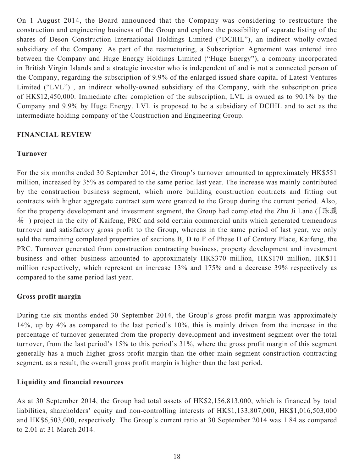On 1 August 2014, the Board announced that the Company was considering to restructure the construction and engineering business of the Group and explore the possibility of separate listing of the shares of Deson Construction International Holdings Limited ("DCIHL"), an indirect wholly-owned subsidiary of the Company. As part of the restructuring, a Subscription Agreement was entered into between the Company and Huge Energy Holdings Limited ("Huge Energy"), a company incorporated in British Virgin Islands and a strategic investor who is independent of and is not a connected person of the Company, regarding the subscription of 9.9% of the enlarged issued share capital of Latest Ventures Limited ("LVL") , an indirect wholly-owned subsidiary of the Company, with the subscription price of HK\$12,450,000. Immediate after completion of the subscription, LVL is owned as to 90.1% by the Company and 9.9% by Huge Energy. LVL is proposed to be a subsidiary of DCIHL and to act as the intermediate holding company of the Construction and Engineering Group.

## **FINANCIAL REVIEW**

## **Turnover**

For the six months ended 30 September 2014, the Group's turnover amounted to approximately HK\$551 million, increased by 35% as compared to the same period last year. The increase was mainly contributed by the construction business segment, which more building construction contracts and fitting out contracts with higher aggregate contract sum were granted to the Group during the current period. Also, for the property development and investment segment, the Group had completed the Zhu Ji Lane (「珠璣 巷」) project in the city of Kaifeng, PRC and sold certain commercial units which generated tremendous turnover and satisfactory gross profit to the Group, whereas in the same period of last year, we only sold the remaining completed properties of sections B, D to F of Phase II of Century Place, Kaifeng, the PRC. Turnover generated from construction contracting business, property development and investment business and other business amounted to approximately HK\$370 million, HK\$170 million, HK\$11 million respectively, which represent an increase 13% and 175% and a decrease 39% respectively as compared to the same period last year.

## **Gross profit margin**

During the six months ended 30 September 2014, the Group's gross profit margin was approximately 14%, up by 4% as compared to the last period's 10%, this is mainly driven from the increase in the percentage of turnover generated from the property development and investment segment over the total turnover, from the last period's 15% to this period's 31%, where the gross profit margin of this segment generally has a much higher gross profit margin than the other main segment-construction contracting segment, as a result, the overall gross profit margin is higher than the last period.

#### **Liquidity and financial resources**

As at 30 September 2014, the Group had total assets of HK\$2,156,813,000, which is financed by total liabilities, shareholders' equity and non-controlling interests of HK\$1,133,807,000, HK\$1,016,503,000 and HK\$6,503,000, respectively. The Group's current ratio at 30 September 2014 was 1.84 as compared to 2.01 at 31 March 2014.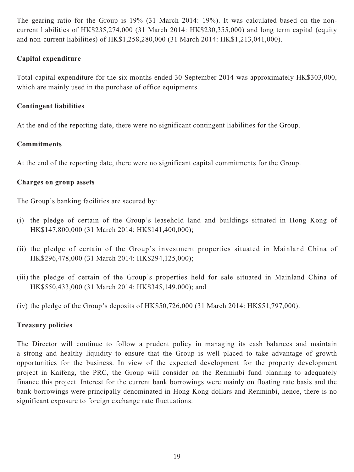The gearing ratio for the Group is 19% (31 March 2014: 19%). It was calculated based on the noncurrent liabilities of HK\$235,274,000 (31 March 2014: HK\$230,355,000) and long term capital (equity and non-current liabilities) of HK\$1,258,280,000 (31 March 2014: HK\$1,213,041,000).

# **Capital expenditure**

Total capital expenditure for the six months ended 30 September 2014 was approximately HK\$303,000, which are mainly used in the purchase of office equipments.

## **Contingent liabilities**

At the end of the reporting date, there were no significant contingent liabilities for the Group.

# **Commitments**

At the end of the reporting date, there were no significant capital commitments for the Group.

## **Charges on group assets**

The Group's banking facilities are secured by:

- (i) the pledge of certain of the Group's leasehold land and buildings situated in Hong Kong of HK\$147,800,000 (31 March 2014: HK\$141,400,000);
- (ii) the pledge of certain of the Group's investment properties situated in Mainland China of HK\$296,478,000 (31 March 2014: HK\$294,125,000);
- (iii) the pledge of certain of the Group's properties held for sale situated in Mainland China of HK\$550,433,000 (31 March 2014: HK\$345,149,000); and

(iv) the pledge of the Group's deposits of HK\$50,726,000 (31 March 2014: HK\$51,797,000).

# **Treasury policies**

The Director will continue to follow a prudent policy in managing its cash balances and maintain a strong and healthy liquidity to ensure that the Group is well placed to take advantage of growth opportunities for the business. In view of the expected development for the property development project in Kaifeng, the PRC, the Group will consider on the Renminbi fund planning to adequately finance this project. Interest for the current bank borrowings were mainly on floating rate basis and the bank borrowings were principally denominated in Hong Kong dollars and Renminbi, hence, there is no significant exposure to foreign exchange rate fluctuations.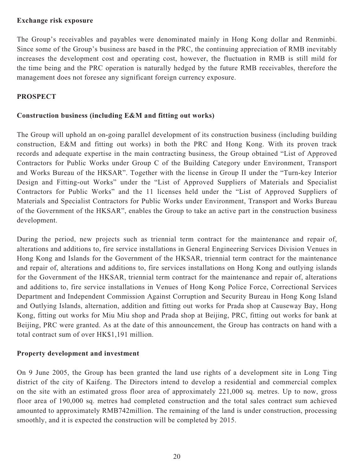#### **Exchange risk exposure**

The Group's receivables and payables were denominated mainly in Hong Kong dollar and Renminbi. Since some of the Group's business are based in the PRC, the continuing appreciation of RMB inevitably increases the development cost and operating cost, however, the fluctuation in RMB is still mild for the time being and the PRC operation is naturally hedged by the future RMB receivables, therefore the management does not foresee any significant foreign currency exposure.

# **PROSPECT**

### **Construction business (including E&M and fitting out works)**

The Group will uphold an on-going parallel development of its construction business (including building construction, E&M and fitting out works) in both the PRC and Hong Kong. With its proven track records and adequate expertise in the main contracting business, the Group obtained "List of Approved Contractors for Public Works under Group C of the Building Category under Environment, Transport and Works Bureau of the HKSAR". Together with the license in Group II under the "Turn-key Interior Design and Fitting-out Works" under the "List of Approved Suppliers of Materials and Specialist Contractors for Public Works" and the 11 licenses held under the "List of Approved Suppliers of Materials and Specialist Contractors for Public Works under Environment, Transport and Works Bureau of the Government of the HKSAR", enables the Group to take an active part in the construction business development.

During the period, new projects such as triennial term contract for the maintenance and repair of, alterations and additions to, fire service installations in General Engineering Services Division Venues in Hong Kong and Islands for the Government of the HKSAR, triennial term contract for the maintenance and repair of, alterations and additions to, fire services installations on Hong Kong and outlying islands for the Government of the HKSAR, triennial term contract for the maintenance and repair of, alterations and additions to, fire service installations in Venues of Hong Kong Police Force, Correctional Services Department and Independent Commission Against Corruption and Security Bureau in Hong Kong Island and Outlying Islands, alternation, addition and fitting out works for Prada shop at Causeway Bay, Hong Kong, fitting out works for Miu Miu shop and Prada shop at Beijing, PRC, fitting out works for bank at Beijing, PRC were granted. As at the date of this announcement, the Group has contracts on hand with a total contract sum of over HK\$1,191 million.

## **Property development and investment**

On 9 June 2005, the Group has been granted the land use rights of a development site in Long Ting district of the city of Kaifeng. The Directors intend to develop a residential and commercial complex on the site with an estimated gross floor area of approximately 221,000 sq. metres. Up to now, gross floor area of 190,000 sq. metres had completed construction and the total sales contract sum achieved amounted to approximately RMB742million. The remaining of the land is under construction, processing smoothly, and it is expected the construction will be completed by 2015.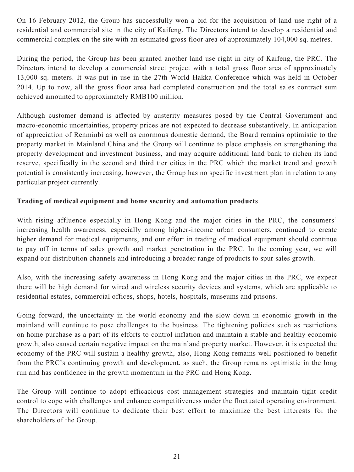On 16 February 2012, the Group has successfully won a bid for the acquisition of land use right of a residential and commercial site in the city of Kaifeng. The Directors intend to develop a residential and commercial complex on the site with an estimated gross floor area of approximately 104,000 sq. metres.

During the period, the Group has been granted another land use right in city of Kaifeng, the PRC. The Directors intend to develop a commercial street project with a total gross floor area of approximately 13,000 sq. meters. It was put in use in the 27th World Hakka Conference which was held in October 2014. Up to now, all the gross floor area had completed construction and the total sales contract sum achieved amounted to approximately RMB100 million.

Although customer demand is affected by austerity measures posed by the Central Government and macro-economic uncertainties, property prices are not expected to decrease substantively. In anticipation of appreciation of Renminbi as well as enormous domestic demand, the Board remains optimistic to the property market in Mainland China and the Group will continue to place emphasis on strengthening the property development and investment business, and may acquire additional land bank to richen its land reserve, specifically in the second and third tier cities in the PRC which the market trend and growth potential is consistently increasing, however, the Group has no specific investment plan in relation to any particular project currently.

# **Trading of medical equipment and home security and automation products**

With rising affluence especially in Hong Kong and the major cities in the PRC, the consumers' increasing health awareness, especially among higher-income urban consumers, continued to create higher demand for medical equipments, and our effort in trading of medical equipment should continue to pay off in terms of sales growth and market penetration in the PRC. In the coming year, we will expand our distribution channels and introducing a broader range of products to spur sales growth.

Also, with the increasing safety awareness in Hong Kong and the major cities in the PRC, we expect there will be high demand for wired and wireless security devices and systems, which are applicable to residential estates, commercial offices, shops, hotels, hospitals, museums and prisons.

Going forward, the uncertainty in the world economy and the slow down in economic growth in the mainland will continue to pose challenges to the business. The tightening policies such as restrictions on home purchase as a part of its efforts to control inflation and maintain a stable and healthy economic growth, also caused certain negative impact on the mainland property market. However, it is expected the economy of the PRC will sustain a healthy growth, also, Hong Kong remains well positioned to benefit from the PRC's continuing growth and development, as such, the Group remains optimistic in the long run and has confidence in the growth momentum in the PRC and Hong Kong.

The Group will continue to adopt efficacious cost management strategies and maintain tight credit control to cope with challenges and enhance competitiveness under the fluctuated operating environment. The Directors will continue to dedicate their best effort to maximize the best interests for the shareholders of the Group.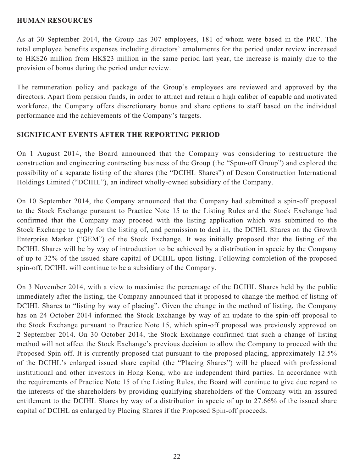#### **HUMAN RESOURCES**

As at 30 September 2014, the Group has 307 employees, 181 of whom were based in the PRC. The total employee benefits expenses including directors' emoluments for the period under review increased to HK\$26 million from HK\$23 million in the same period last year, the increase is mainly due to the provision of bonus during the period under review.

The remuneration policy and package of the Group's employees are reviewed and approved by the directors. Apart from pension funds, in order to attract and retain a high caliber of capable and motivated workforce, the Company offers discretionary bonus and share options to staff based on the individual performance and the achievements of the Company's targets.

## **SIGNIFICANT EVENTS AFTER THE REPORTING PERIOD**

On 1 August 2014, the Board announced that the Company was considering to restructure the construction and engineering contracting business of the Group (the "Spun-off Group") and explored the possibility of a separate listing of the shares (the "DCIHL Shares") of Deson Construction International Holdings Limited ("DCIHL"), an indirect wholly-owned subsidiary of the Company.

On 10 September 2014, the Company announced that the Company had submitted a spin-off proposal to the Stock Exchange pursuant to Practice Note 15 to the Listing Rules and the Stock Exchange had confirmed that the Company may proceed with the listing application which was submitted to the Stock Exchange to apply for the listing of, and permission to deal in, the DCIHL Shares on the Growth Enterprise Market ("GEM") of the Stock Exchange. It was initially proposed that the listing of the DCIHL Shares will be by way of introduction to be achieved by a distribution in specie by the Company of up to 32% of the issued share capital of DCIHL upon listing. Following completion of the proposed spin-off, DCIHL will continue to be a subsidiary of the Company.

On 3 November 2014, with a view to maximise the percentage of the DCIHL Shares held by the public immediately after the listing, the Company announced that it proposed to change the method of listing of DCIHL Shares to "listing by way of placing". Given the change in the method of listing, the Company has on 24 October 2014 informed the Stock Exchange by way of an update to the spin-off proposal to the Stock Exchange pursuant to Practice Note 15, which spin-off proposal was previously approved on 2 September 2014. On 30 October 2014, the Stock Exchange confirmed that such a change of listing method will not affect the Stock Exchange's previous decision to allow the Company to proceed with the Proposed Spin-off. It is currently proposed that pursuant to the proposed placing, approximately 12.5% of the DCIHL's enlarged issued share capital (the "Placing Shares") will be placed with professional institutional and other investors in Hong Kong, who are independent third parties. In accordance with the requirements of Practice Note 15 of the Listing Rules, the Board will continue to give due regard to the interests of the shareholders by providing qualifying shareholders of the Company with an assured entitlement to the DCIHL Shares by way of a distribution in specie of up to 27.66% of the issued share capital of DCIHL as enlarged by Placing Shares if the Proposed Spin-off proceeds.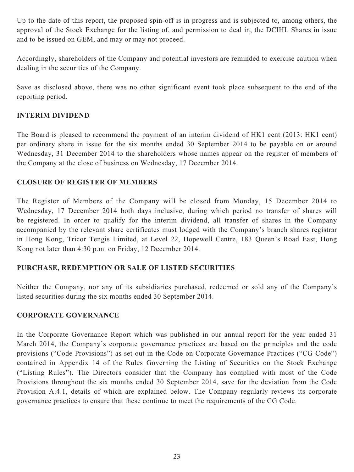Up to the date of this report, the proposed spin-off is in progress and is subjected to, among others, the approval of the Stock Exchange for the listing of, and permission to deal in, the DCIHL Shares in issue and to be issued on GEM, and may or may not proceed.

Accordingly, shareholders of the Company and potential investors are reminded to exercise caution when dealing in the securities of the Company.

Save as disclosed above, there was no other significant event took place subsequent to the end of the reporting period.

# **INTERIM DIVIDEND**

The Board is pleased to recommend the payment of an interim dividend of HK1 cent (2013: HK1 cent) per ordinary share in issue for the six months ended 30 September 2014 to be payable on or around Wednesday, 31 December 2014 to the shareholders whose names appear on the register of members of the Company at the close of business on Wednesday, 17 December 2014.

# **CLOSURE OF REGISTER OF MEMBERS**

The Register of Members of the Company will be closed from Monday, 15 December 2014 to Wednesday, 17 December 2014 both days inclusive, during which period no transfer of shares will be registered. In order to qualify for the interim dividend, all transfer of shares in the Company accompanied by the relevant share certificates must lodged with the Company's branch shares registrar in Hong Kong, Tricor Tengis Limited, at Level 22, Hopewell Centre, 183 Queen's Road East, Hong Kong not later than 4:30 p.m. on Friday, 12 December 2014.

## **PURCHASE, REDEMPTION OR SALE OF LISTED SECURITIES**

Neither the Company, nor any of its subsidiaries purchased, redeemed or sold any of the Company's listed securities during the six months ended 30 September 2014.

## **CORPORATE GOVERNANCE**

In the Corporate Governance Report which was published in our annual report for the year ended 31 March 2014, the Company's corporate governance practices are based on the principles and the code provisions ("Code Provisions") as set out in the Code on Corporate Governance Practices ("CG Code") contained in Appendix 14 of the Rules Governing the Listing of Securities on the Stock Exchange ("Listing Rules"). The Directors consider that the Company has complied with most of the Code Provisions throughout the six months ended 30 September 2014, save for the deviation from the Code Provision A.4.1, details of which are explained below. The Company regularly reviews its corporate governance practices to ensure that these continue to meet the requirements of the CG Code.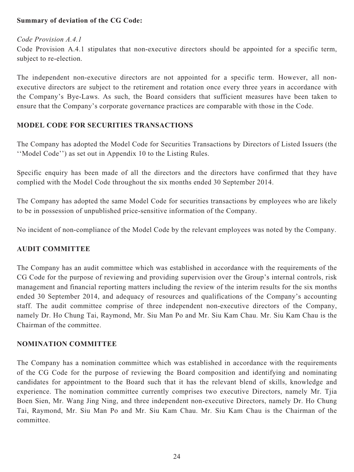# **Summary of deviation of the CG Code:**

#### *Code Provision A.4.1*

Code Provision A.4.1 stipulates that non-executive directors should be appointed for a specific term, subject to re-election.

The independent non-executive directors are not appointed for a specific term. However, all nonexecutive directors are subject to the retirement and rotation once every three years in accordance with the Company's Bye-Laws. As such, the Board considers that sufficient measures have been taken to ensure that the Company's corporate governance practices are comparable with those in the Code.

## **MODEL CODE FOR SECURITIES TRANSACTIONS**

The Company has adopted the Model Code for Securities Transactions by Directors of Listed Issuers (the ''Model Code'') as set out in Appendix 10 to the Listing Rules.

Specific enquiry has been made of all the directors and the directors have confirmed that they have complied with the Model Code throughout the six months ended 30 September 2014.

The Company has adopted the same Model Code for securities transactions by employees who are likely to be in possession of unpublished price-sensitive information of the Company.

No incident of non-compliance of the Model Code by the relevant employees was noted by the Company.

## **AUDIT COMMITTEE**

The Company has an audit committee which was established in accordance with the requirements of the CG Code for the purpose of reviewing and providing supervision over the Group's internal controls, risk management and financial reporting matters including the review of the interim results for the six months ended 30 September 2014, and adequacy of resources and qualifications of the Company's accounting staff. The audit committee comprise of three independent non-executive directors of the Company, namely Dr. Ho Chung Tai, Raymond, Mr. Siu Man Po and Mr. Siu Kam Chau. Mr. Siu Kam Chau is the Chairman of the committee.

#### **NOMINATION COMMITTEE**

The Company has a nomination committee which was established in accordance with the requirements of the CG Code for the purpose of reviewing the Board composition and identifying and nominating candidates for appointment to the Board such that it has the relevant blend of skills, knowledge and experience. The nomination committee currently comprises two executive Directors, namely Mr. Tjia Boen Sien, Mr. Wang Jing Ning, and three independent non-executive Directors, namely Dr. Ho Chung Tai, Raymond, Mr. Siu Man Po and Mr. Siu Kam Chau. Mr. Siu Kam Chau is the Chairman of the committee.